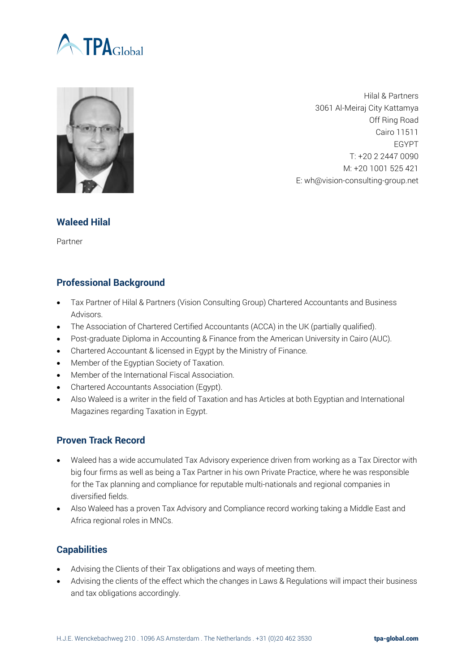



Hilal & Partners 3061 Al-Meiraj City Kattamya Off Ring Road Cairo 11511 EGYPT T: +20 2 2447 0090 M: +20 1001 525 421 E: wh@vision-consulting-group.net

## **Waleed Hilal**

Partner

## **Professional Background**

- Tax Partner of Hilal & Partners (Vision Consulting Group) Chartered Accountants and Business Advisors.
- The Association of Chartered Certified Accountants (ACCA) in the UK (partially qualified).
- Post-graduate Diploma in Accounting & Finance from the American University in Cairo (AUC).
- Chartered Accountant & licensed in Egypt by the Ministry of Finance.
- Member of the Egyptian Society of Taxation.
- Member of the International Fiscal Association.
- Chartered Accountants Association (Egypt).
- Also Waleed is a writer in the field of Taxation and has Articles at both Egyptian and International Magazines regarding Taxation in Egypt.

## **Proven Track Record**

- Waleed has a wide accumulated Tax Advisory experience driven from working as a Tax Director with big four firms as well as being a Tax Partner in his own Private Practice, where he was responsible for the Tax planning and compliance for reputable multi-nationals and regional companies in diversified fields.
- Also Waleed has a proven Tax Advisory and Compliance record working taking a Middle East and Africa regional roles in MNCs.

## **Capabilities**

- Advising the Clients of their Tax obligations and ways of meeting them.
- Advising the clients of the effect which the changes in Laws & Regulations will impact their business and tax obligations accordingly.